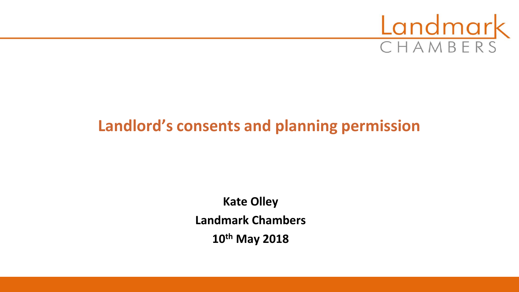

# **Landlord's consents and planning permission**

**Kate Olley Landmark Chambers 10th May 2018**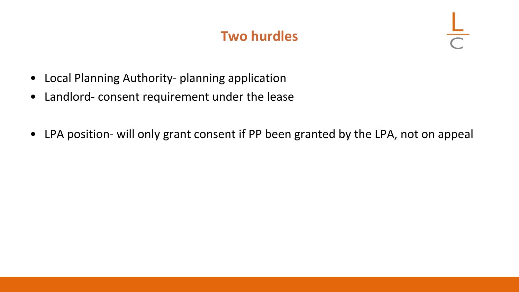#### **Two hurdles**

- Local Planning Authority- planning application
- Landlord- consent requirement under the lease
- LPA position- will only grant consent if PP been granted by the LPA, not on appeal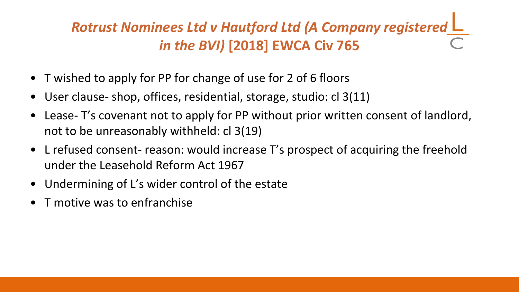# *Rotrust Nominees Ltd v Hautford Ltd (A Company registered in the BVI)* **[2018] EWCA Civ 765**

- T wished to apply for PP for change of use for 2 of 6 floors
- User clause- shop, offices, residential, storage, studio: cl 3(11)
- Lease- T's covenant not to apply for PP without prior written consent of landlord, not to be unreasonably withheld: cl 3(19)
- L refused consent- reason: would increase T's prospect of acquiring the freehold under the Leasehold Reform Act 1967
- Undermining of L's wider control of the estate
- T motive was to enfranchise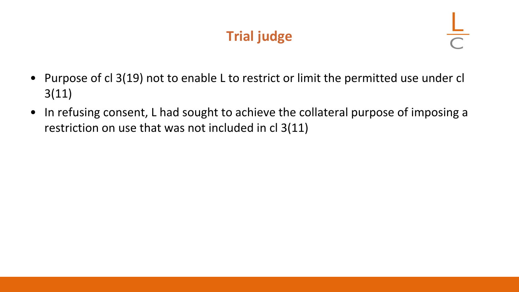## **Trial judge**

- Purpose of cl 3(19) not to enable L to restrict or limit the permitted use under cl 3(11)
- In refusing consent, L had sought to achieve the collateral purpose of imposing a restriction on use that was not included in cl 3(11)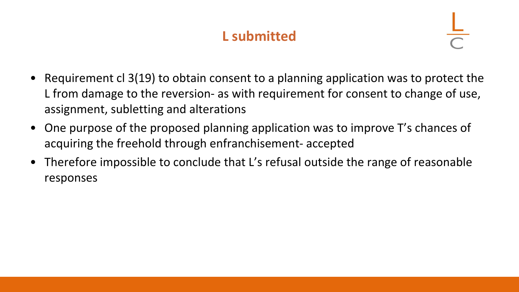### **L submitted**

- Requirement cl 3(19) to obtain consent to a planning application was to protect the L from damage to the reversion- as with requirement for consent to change of use, assignment, subletting and alterations
- One purpose of the proposed planning application was to improve T's chances of acquiring the freehold through enfranchisement- accepted
- Therefore impossible to conclude that L's refusal outside the range of reasonable responses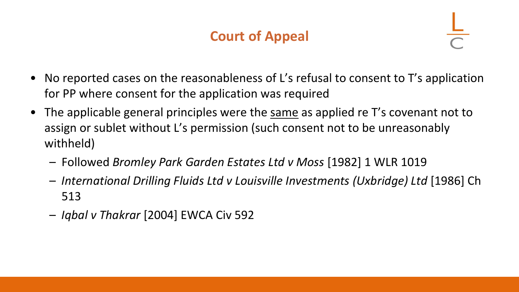### **Court of Appeal**

- No reported cases on the reasonableness of L's refusal to consent to T's application for PP where consent for the application was required
- The applicable general principles were the same as applied re T's covenant not to assign or sublet without L's permission (such consent not to be unreasonably withheld)
	- Followed *Bromley Park Garden Estates Ltd v Moss* [1982] 1 WLR 1019
	- *International Drilling Fluids Ltd v Louisville Investments (Uxbridge) Ltd* [1986] Ch 513
	- *Iqbal v Thakrar* [2004] EWCA Civ 592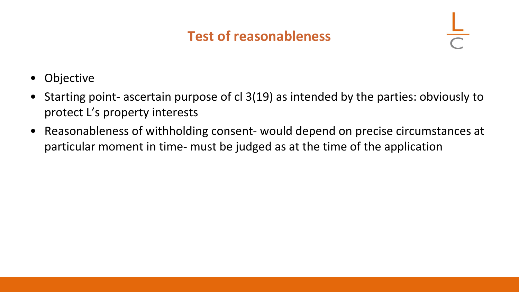#### **Test of reasonableness**

- **Objective**
- Starting point- ascertain purpose of cl 3(19) as intended by the parties: obviously to protect L's property interests
- Reasonableness of withholding consent- would depend on precise circumstances at particular moment in time- must be judged as at the time of the application